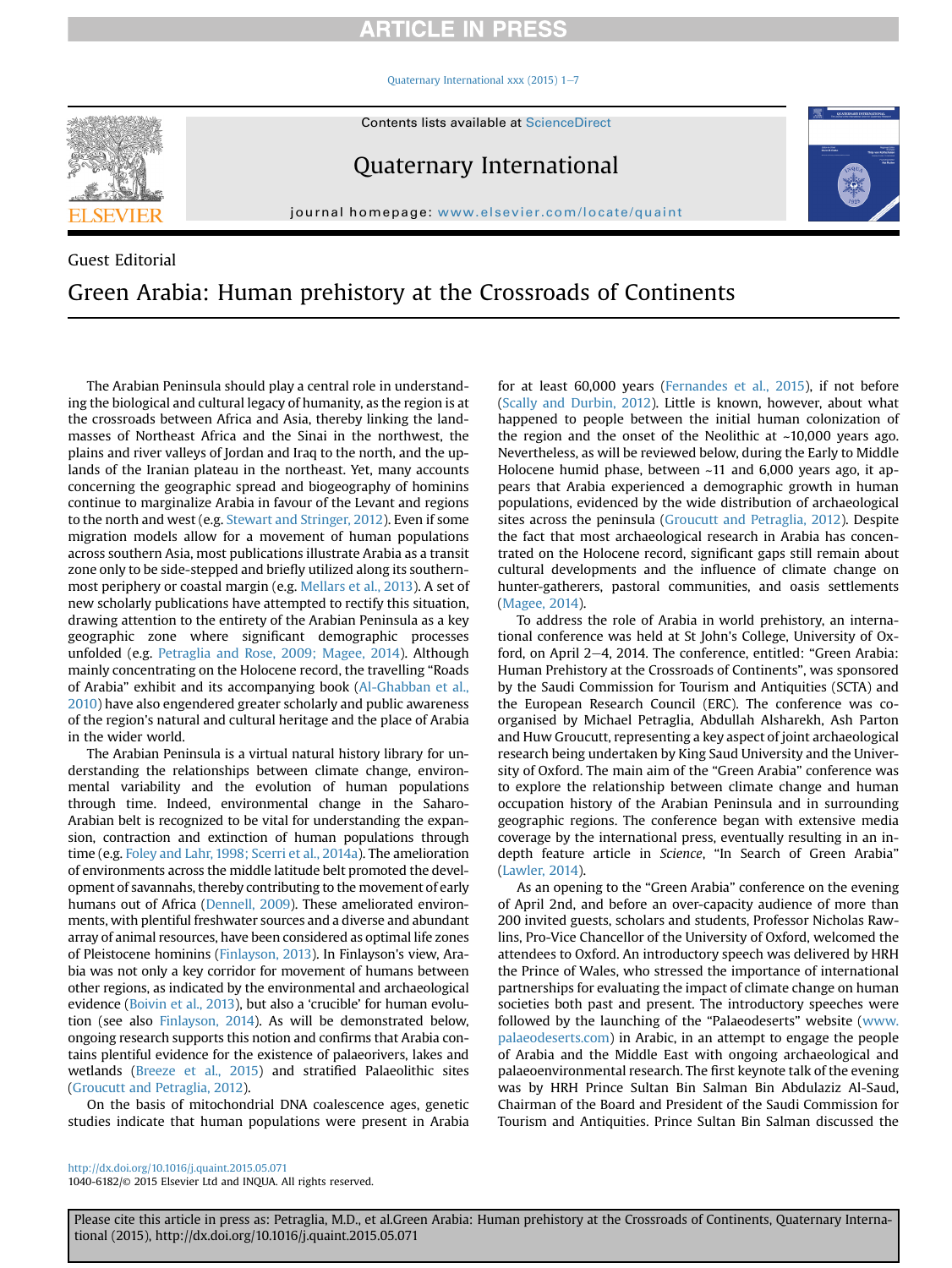Ouaternary International xxx (2015)  $1-7$  $1-7$ 



Contents lists available at ScienceDirect

# Quaternary International

journal homepage: [www.elsevier.com/locate/quaint](http://www.elsevier.com/locate/quaint)

# Guest Editorial Green Arabia: Human prehistory at the Crossroads of Continents

The Arabian Peninsula should play a central role in understanding the biological and cultural legacy of humanity, as the region is at the crossroads between Africa and Asia, thereby linking the landmasses of Northeast Africa and the Sinai in the northwest, the plains and river valleys of Jordan and Iraq to the north, and the uplands of the Iranian plateau in the northeast. Yet, many accounts concerning the geographic spread and biogeography of hominins continue to marginalize Arabia in favour of the Levant and regions to the north and west (e.g. [Stewart and Stringer, 2012\)](#page-6-0). Even if some migration models allow for a movement of human populations across southern Asia, most publications illustrate Arabia as a transit zone only to be side-stepped and briefly utilized along its southernmost periphery or coastal margin (e.g. [Mellars et al., 2013\)](#page-5-0). A set of new scholarly publications have attempted to rectify this situation, drawing attention to the entirety of the Arabian Peninsula as a key geographic zone where significant demographic processes unfolded (e.g. [Petraglia and Rose, 2009; Magee, 2014](#page-5-0)). Although mainly concentrating on the Holocene record, the travelling "Roads of Arabia" exhibit and its accompanying book ([Al-Ghabban et al.,](#page-5-0) [2010\)](#page-5-0) have also engendered greater scholarly and public awareness of the region's natural and cultural heritage and the place of Arabia in the wider world.

The Arabian Peninsula is a virtual natural history library for understanding the relationships between climate change, environmental variability and the evolution of human populations through time. Indeed, environmental change in the Saharo-Arabian belt is recognized to be vital for understanding the expansion, contraction and extinction of human populations through time (e.g. [Foley and Lahr, 1998; Scerri et al., 2014a\)](#page-5-0). The amelioration of environments across the middle latitude belt promoted the development of savannahs, thereby contributing to the movement of early humans out of Africa ([Dennell, 2009\)](#page-5-0). These ameliorated environments, with plentiful freshwater sources and a diverse and abundant array of animal resources, have been considered as optimal life zones of Pleistocene hominins [\(Finlayson, 2013\)](#page-5-0). In Finlayson's view, Arabia was not only a key corridor for movement of humans between other regions, as indicated by the environmental and archaeological evidence [\(Boivin et al., 2013\)](#page-5-0), but also a 'crucible' for human evolution (see also [Finlayson, 2014](#page-5-0)). As will be demonstrated below, ongoing research supports this notion and confirms that Arabia contains plentiful evidence for the existence of palaeorivers, lakes and wetlands [\(Breeze et al., 2015\)](#page-5-0) and stratified Palaeolithic sites [\(Groucutt and Petraglia, 2012](#page-5-0)).

On the basis of mitochondrial DNA coalescence ages, genetic studies indicate that human populations were present in Arabia for at least 60,000 years ([Fernandes et al., 2015\)](#page-5-0), if not before ([Scally and Durbin, 2012](#page-6-0)). Little is known, however, about what happened to people between the initial human colonization of the region and the onset of the Neolithic at  $\sim$ 10,000 years ago. Nevertheless, as will be reviewed below, during the Early to Middle Holocene humid phase, between ~11 and 6,000 years ago, it appears that Arabia experienced a demographic growth in human populations, evidenced by the wide distribution of archaeological sites across the peninsula [\(Groucutt and Petraglia, 2012](#page-5-0)). Despite the fact that most archaeological research in Arabia has concentrated on the Holocene record, significant gaps still remain about cultural developments and the influence of climate change on hunter-gatherers, pastoral communities, and oasis settlements ([Magee, 2014](#page-5-0)).

To address the role of Arabia in world prehistory, an international conference was held at St John's College, University of Oxford, on April 2-4, 2014. The conference, entitled: "Green Arabia: Human Prehistory at the Crossroads of Continents", was sponsored by the Saudi Commission for Tourism and Antiquities (SCTA) and the European Research Council (ERC). The conference was coorganised by Michael Petraglia, Abdullah Alsharekh, Ash Parton and Huw Groucutt, representing a key aspect of joint archaeological research being undertaken by King Saud University and the University of Oxford. The main aim of the "Green Arabia" conference was to explore the relationship between climate change and human occupation history of the Arabian Peninsula and in surrounding geographic regions. The conference began with extensive media coverage by the international press, eventually resulting in an indepth feature article in Science, "In Search of Green Arabia" ([Lawler, 2014\)](#page-5-0).

As an opening to the "Green Arabia" conference on the evening of April 2nd, and before an over-capacity audience of more than 200 invited guests, scholars and students, Professor Nicholas Rawlins, Pro-Vice Chancellor of the University of Oxford, welcomed the attendees to Oxford. An introductory speech was delivered by HRH the Prince of Wales, who stressed the importance of international partnerships for evaluating the impact of climate change on human societies both past and present. The introductory speeches were followed by the launching of the "Palaeodeserts" website ([www.](http://www.palaeodeserts.com) [palaeodeserts.com](http://www.palaeodeserts.com)) in Arabic, in an attempt to engage the people of Arabia and the Middle East with ongoing archaeological and palaeoenvironmental research. The first keynote talk of the evening was by HRH Prince Sultan Bin Salman Bin Abdulaziz Al-Saud, Chairman of the Board and President of the Saudi Commission for Tourism and Antiquities. Prince Sultan Bin Salman discussed the

<http://dx.doi.org/10.1016/j.quaint.2015.05.071> 1040-6182/© 2015 Elsevier Ltd and INQUA. All rights reserved.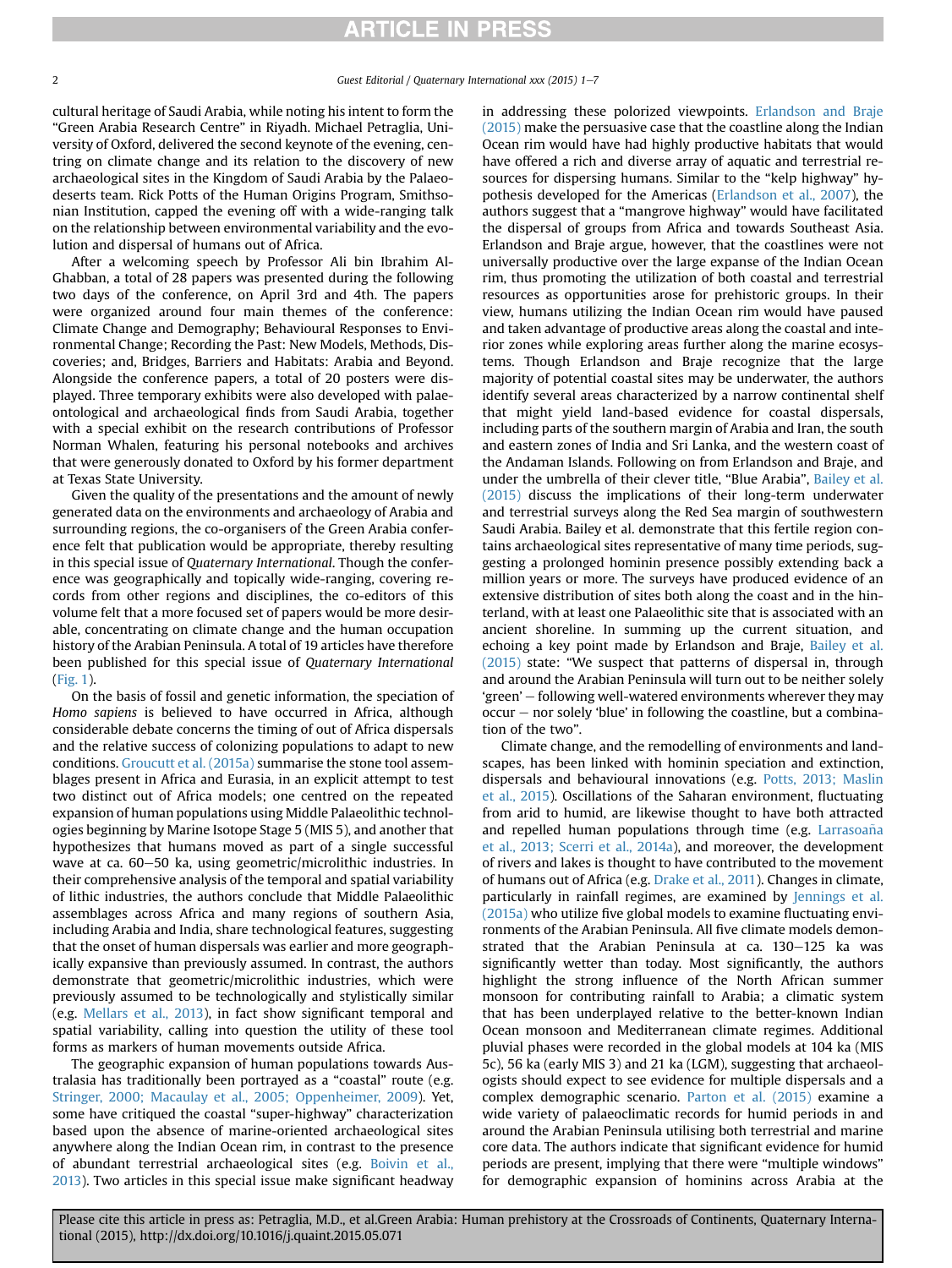cultural heritage of Saudi Arabia, while noting his intent to form the "Green Arabia Research Centre" in Riyadh. Michael Petraglia, University of Oxford, delivered the second keynote of the evening, centring on climate change and its relation to the discovery of new archaeological sites in the Kingdom of Saudi Arabia by the Palaeodeserts team. Rick Potts of the Human Origins Program, Smithsonian Institution, capped the evening off with a wide-ranging talk on the relationship between environmental variability and the evolution and dispersal of humans out of Africa.

After a welcoming speech by Professor Ali bin Ibrahim Al-Ghabban, a total of 28 papers was presented during the following two days of the conference, on April 3rd and 4th. The papers were organized around four main themes of the conference: Climate Change and Demography; Behavioural Responses to Environmental Change; Recording the Past: New Models, Methods, Discoveries; and, Bridges, Barriers and Habitats: Arabia and Beyond. Alongside the conference papers, a total of 20 posters were displayed. Three temporary exhibits were also developed with palaeontological and archaeological finds from Saudi Arabia, together with a special exhibit on the research contributions of Professor Norman Whalen, featuring his personal notebooks and archives that were generously donated to Oxford by his former department at Texas State University.

Given the quality of the presentations and the amount of newly generated data on the environments and archaeology of Arabia and surrounding regions, the co-organisers of the Green Arabia conference felt that publication would be appropriate, thereby resulting in this special issue of Quaternary International. Though the conference was geographically and topically wide-ranging, covering records from other regions and disciplines, the co-editors of this volume felt that a more focused set of papers would be more desirable, concentrating on climate change and the human occupation history of the Arabian Peninsula. A total of 19 articles have therefore been published for this special issue of Quaternary International ([Fig. 1](#page-2-0)).

On the basis of fossil and genetic information, the speciation of Homo sapiens is believed to have occurred in Africa, although considerable debate concerns the timing of out of Africa dispersals and the relative success of colonizing populations to adapt to new conditions. [Groucutt et al. \(2015a\)](#page-5-0) summarise the stone tool assemblages present in Africa and Eurasia, in an explicit attempt to test two distinct out of Africa models; one centred on the repeated expansion of human populations using Middle Palaeolithic technologies beginning by Marine Isotope Stage 5 (MIS 5), and another that hypothesizes that humans moved as part of a single successful wave at ca. 60-50 ka, using geometric/microlithic industries. In their comprehensive analysis of the temporal and spatial variability of lithic industries, the authors conclude that Middle Palaeolithic assemblages across Africa and many regions of southern Asia, including Arabia and India, share technological features, suggesting that the onset of human dispersals was earlier and more geographically expansive than previously assumed. In contrast, the authors demonstrate that geometric/microlithic industries, which were previously assumed to be technologically and stylistically similar (e.g. [Mellars et al., 2013](#page-5-0)), in fact show significant temporal and spatial variability, calling into question the utility of these tool forms as markers of human movements outside Africa.

The geographic expansion of human populations towards Australasia has traditionally been portrayed as a "coastal" route (e.g. [Stringer, 2000; Macaulay et al., 2005; Oppenheimer, 2009](#page-6-0)). Yet, some have critiqued the coastal "super-highway" characterization based upon the absence of marine-oriented archaeological sites anywhere along the Indian Ocean rim, in contrast to the presence of abundant terrestrial archaeological sites (e.g. [Boivin et al.,](#page-5-0) [2013](#page-5-0)). Two articles in this special issue make significant headway in addressing these polorized viewpoints. [Erlandson and Braje](#page-5-0) [\(2015\)](#page-5-0) make the persuasive case that the coastline along the Indian Ocean rim would have had highly productive habitats that would have offered a rich and diverse array of aquatic and terrestrial resources for dispersing humans. Similar to the "kelp highway" hypothesis developed for the Americas ([Erlandson et al., 2007\)](#page-5-0), the authors suggest that a "mangrove highway" would have facilitated the dispersal of groups from Africa and towards Southeast Asia. Erlandson and Braje argue, however, that the coastlines were not universally productive over the large expanse of the Indian Ocean rim, thus promoting the utilization of both coastal and terrestrial resources as opportunities arose for prehistoric groups. In their view, humans utilizing the Indian Ocean rim would have paused and taken advantage of productive areas along the coastal and interior zones while exploring areas further along the marine ecosystems. Though Erlandson and Braje recognize that the large majority of potential coastal sites may be underwater, the authors identify several areas characterized by a narrow continental shelf that might yield land-based evidence for coastal dispersals, including parts of the southern margin of Arabia and Iran, the south and eastern zones of India and Sri Lanka, and the western coast of the Andaman Islands. Following on from Erlandson and Braje, and under the umbrella of their clever title, "Blue Arabia", [Bailey et al.](#page-5-0) [\(2015\)](#page-5-0) discuss the implications of their long-term underwater and terrestrial surveys along the Red Sea margin of southwestern Saudi Arabia. Bailey et al. demonstrate that this fertile region contains archaeological sites representative of many time periods, suggesting a prolonged hominin presence possibly extending back a million years or more. The surveys have produced evidence of an extensive distribution of sites both along the coast and in the hinterland, with at least one Palaeolithic site that is associated with an ancient shoreline. In summing up the current situation, and echoing a key point made by Erlandson and Braje, [Bailey et al.](#page-5-0) [\(2015\)](#page-5-0) state: "We suspect that patterns of dispersal in, through and around the Arabian Peninsula will turn out to be neither solely 'green' – following well-watered environments wherever they may  $occur - nor solely 'blue'$  in following the coastline, but a combination of the two".

Climate change, and the remodelling of environments and landscapes, has been linked with hominin speciation and extinction, dispersals and behavioural innovations (e.g. [Potts, 2013; Maslin](#page-6-0) [et al., 2015\)](#page-6-0). Oscillations of the Saharan environment, fluctuating from arid to humid, are likewise thought to have both attracted and repelled human populations through time (e.g. Larrasoaña [et al., 2013; Scerri et al., 2014a](#page-5-0)), and moreover, the development of rivers and lakes is thought to have contributed to the movement of humans out of Africa (e.g. [Drake et al., 2011](#page-5-0)). Changes in climate, particularly in rainfall regimes, are examined by [Jennings et al.](#page-5-0) [\(2015a\)](#page-5-0) who utilize five global models to examine fluctuating environments of the Arabian Peninsula. All five climate models demonstrated that the Arabian Peninsula at ca. 130-125 ka was significantly wetter than today. Most significantly, the authors highlight the strong influence of the North African summer monsoon for contributing rainfall to Arabia; a climatic system that has been underplayed relative to the better-known Indian Ocean monsoon and Mediterranean climate regimes. Additional pluvial phases were recorded in the global models at 104 ka (MIS 5c), 56 ka (early MIS 3) and 21 ka (LGM), suggesting that archaeologists should expect to see evidence for multiple dispersals and a complex demographic scenario. [Parton et al. \(2015\)](#page-5-0) examine a wide variety of palaeoclimatic records for humid periods in and around the Arabian Peninsula utilising both terrestrial and marine core data. The authors indicate that significant evidence for humid periods are present, implying that there were "multiple windows" for demographic expansion of hominins across Arabia at the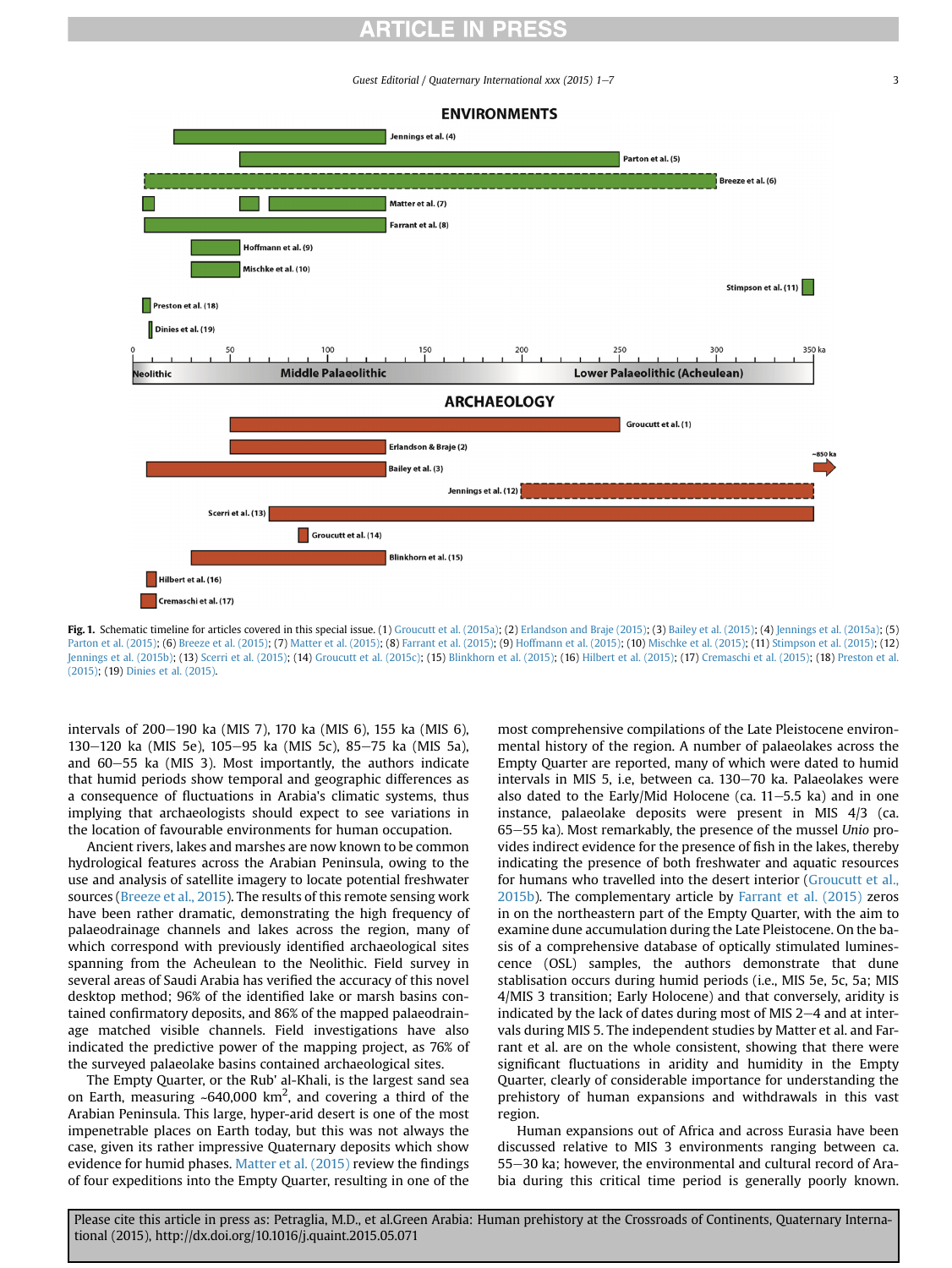Guest Editorial / Ouaternary International xxx (2015) 1-7 33

**ENVIRONMENTS** 

<span id="page-2-0"></span>

Fig. 1. Schematic timeline for articles covered in this special issue. (1) [Groucutt et al. \(2015a\);](#page-5-0) (2) [Erlandson and Braje \(2015\);](#page-5-0) (3) [Bailey et al. \(2015\)](#page-5-0); (4) [Jennings et al. \(2015a\)](#page-5-0); (5) [Parton et al. \(2015\);](#page-5-0) (6) [Breeze et al. \(2015\);](#page-5-0) (7) [Matter et al. \(2015\);](#page-5-0) (8) [Farrant et al. \(2015\);](#page-5-0) (9) [Hoffmann et al. \(2015\)](#page-5-0); (10) [Mischke et al. \(2015\)](#page-5-0); (11) [Stimpson et al. \(2015\);](#page-6-0) (2) [Jennings et al. \(2015b\)](#page-5-0); (13) [Scerri et al. \(2015\);](#page-6-0) (14) [Groucutt et al. \(2015c\)](#page-5-0); (15) [Blinkhorn et al. \(2015\);](#page-5-0) (16) [Hilbert et al. \(2015\);](#page-5-0) (17) [Cremaschi et al. \(2015\);](#page-5-0) (18) [Preston et al.](#page-6-0) [\(2015\)](#page-6-0); (19) [Dinies et al. \(2015\).](#page-5-0)

intervals of 200-190 ka (MIS 7), 170 ka (MIS 6), 155 ka (MIS 6), 130-120 ka (MIS 5e), 105-95 ka (MIS 5c), 85-75 ka (MIS 5a), and  $60-55$  ka (MIS 3). Most importantly, the authors indicate that humid periods show temporal and geographic differences as a consequence of fluctuations in Arabia's climatic systems, thus implying that archaeologists should expect to see variations in the location of favourable environments for human occupation.

Ancient rivers, lakes and marshes are now known to be common hydrological features across the Arabian Peninsula, owing to the use and analysis of satellite imagery to locate potential freshwater sources [\(Breeze et al., 2015\)](#page-5-0). The results of this remote sensing work have been rather dramatic, demonstrating the high frequency of palaeodrainage channels and lakes across the region, many of which correspond with previously identified archaeological sites spanning from the Acheulean to the Neolithic. Field survey in several areas of Saudi Arabia has verified the accuracy of this novel desktop method; 96% of the identified lake or marsh basins contained confirmatory deposits, and 86% of the mapped palaeodrainage matched visible channels. Field investigations have also indicated the predictive power of the mapping project, as 76% of the surveyed palaeolake basins contained archaeological sites.

The Empty Quarter, or the Rub' al-Khali, is the largest sand sea on Earth, measuring ~640,000 km<sup>2</sup>, and covering a third of the Arabian Peninsula. This large, hyper-arid desert is one of the most impenetrable places on Earth today, but this was not always the case, given its rather impressive Quaternary deposits which show evidence for humid phases. [Matter et al. \(2015\)](#page-5-0) review the findings of four expeditions into the Empty Quarter, resulting in one of the most comprehensive compilations of the Late Pleistocene environmental history of the region. A number of palaeolakes across the Empty Quarter are reported, many of which were dated to humid intervals in MIS 5, i.e, between ca. 130-70 ka. Palaeolakes were also dated to the Early/Mid Holocene (ca.  $11-5.5$  ka) and in one instance, palaeolake deposits were present in MIS 4/3 (ca. 65-55 ka). Most remarkably, the presence of the mussel Unio provides indirect evidence for the presence of fish in the lakes, thereby indicating the presence of both freshwater and aquatic resources for humans who travelled into the desert interior [\(Groucutt et al.,](#page-5-0) [2015b](#page-5-0)). The complementary article by [Farrant et al. \(2015\)](#page-5-0) zeros in on the northeastern part of the Empty Quarter, with the aim to examine dune accumulation during the Late Pleistocene. On the basis of a comprehensive database of optically stimulated luminescence (OSL) samples, the authors demonstrate that dune stablisation occurs during humid periods (i.e., MIS 5e, 5c, 5a; MIS 4/MIS 3 transition; Early Holocene) and that conversely, aridity is indicated by the lack of dates during most of MIS  $2-4$  and at intervals during MIS 5. The independent studies by Matter et al. and Farrant et al. are on the whole consistent, showing that there were significant fluctuations in aridity and humidity in the Empty Quarter, clearly of considerable importance for understanding the prehistory of human expansions and withdrawals in this vast region.

Human expansions out of Africa and across Eurasia have been discussed relative to MIS 3 environments ranging between ca. 55–30 ka; however, the environmental and cultural record of Arabia during this critical time period is generally poorly known.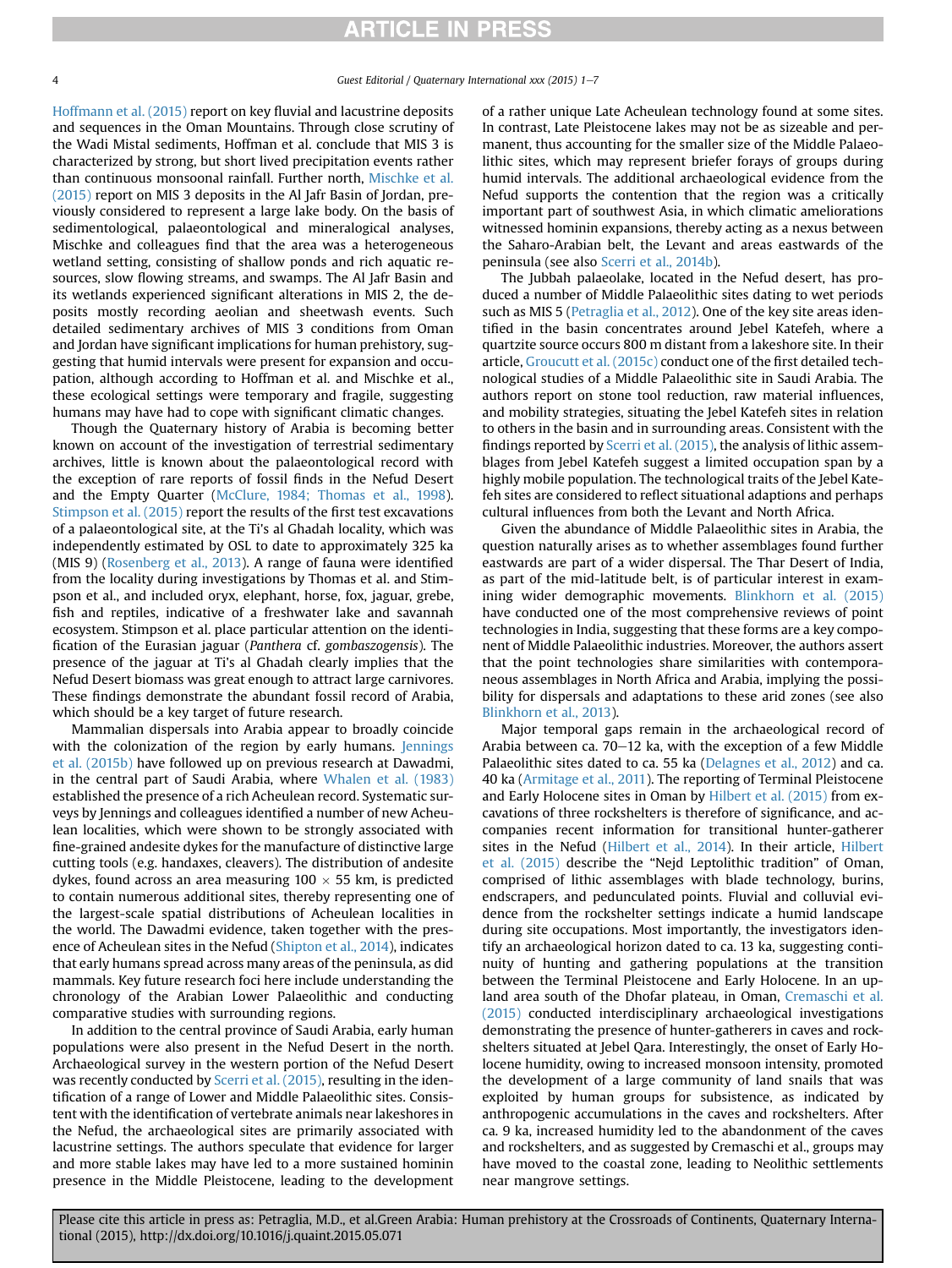[Hoffmann et al. \(2015\)](#page-5-0) report on key fluvial and lacustrine deposits and sequences in the Oman Mountains. Through close scrutiny of the Wadi Mistal sediments, Hoffman et al. conclude that MIS 3 is characterized by strong, but short lived precipitation events rather than continuous monsoonal rainfall. Further north, [Mischke et al.](#page-5-0) [\(2015\)](#page-5-0) report on MIS 3 deposits in the Al Jafr Basin of Jordan, previously considered to represent a large lake body. On the basis of sedimentological, palaeontological and mineralogical analyses, Mischke and colleagues find that the area was a heterogeneous wetland setting, consisting of shallow ponds and rich aquatic resources, slow flowing streams, and swamps. The Al Jafr Basin and its wetlands experienced significant alterations in MIS 2, the deposits mostly recording aeolian and sheetwash events. Such detailed sedimentary archives of MIS 3 conditions from Oman and Jordan have significant implications for human prehistory, suggesting that humid intervals were present for expansion and occupation, although according to Hoffman et al. and Mischke et al., these ecological settings were temporary and fragile, suggesting humans may have had to cope with significant climatic changes.

Though the Quaternary history of Arabia is becoming better known on account of the investigation of terrestrial sedimentary archives, little is known about the palaeontological record with the exception of rare reports of fossil finds in the Nefud Desert and the Empty Quarter [\(McClure, 1984; Thomas et al., 1998\)](#page-5-0). [Stimpson et al. \(2015\)](#page-6-0) report the results of the first test excavations of a palaeontological site, at the Ti's al Ghadah locality, which was independently estimated by OSL to date to approximately 325 ka (MIS 9) [\(Rosenberg et al., 2013](#page-6-0)). A range of fauna were identified from the locality during investigations by Thomas et al. and Stimpson et al., and included oryx, elephant, horse, fox, jaguar, grebe, fish and reptiles, indicative of a freshwater lake and savannah ecosystem. Stimpson et al. place particular attention on the identification of the Eurasian jaguar (Panthera cf. gombaszogensis). The presence of the jaguar at Ti's al Ghadah clearly implies that the Nefud Desert biomass was great enough to attract large carnivores. These findings demonstrate the abundant fossil record of Arabia, which should be a key target of future research.

Mammalian dispersals into Arabia appear to broadly coincide with the colonization of the region by early humans. [Jennings](#page-5-0) [et al. \(2015b\)](#page-5-0) have followed up on previous research at Dawadmi, in the central part of Saudi Arabia, where [Whalen et al. \(1983\)](#page-6-0) established the presence of a rich Acheulean record. Systematic surveys by Jennings and colleagues identified a number of new Acheulean localities, which were shown to be strongly associated with fine-grained andesite dykes for the manufacture of distinctive large cutting tools (e.g. handaxes, cleavers). The distribution of andesite dykes, found across an area measuring  $100 \times 55$  km, is predicted to contain numerous additional sites, thereby representing one of the largest-scale spatial distributions of Acheulean localities in the world. The Dawadmi evidence, taken together with the presence of Acheulean sites in the Nefud ([Shipton et al., 2014](#page-6-0)), indicates that early humans spread across many areas of the peninsula, as did mammals. Key future research foci here include understanding the chronology of the Arabian Lower Palaeolithic and conducting comparative studies with surrounding regions.

In addition to the central province of Saudi Arabia, early human populations were also present in the Nefud Desert in the north. Archaeological survey in the western portion of the Nefud Desert was recently conducted by [Scerri et al. \(2015\)](#page-6-0), resulting in the identification of a range of Lower and Middle Palaeolithic sites. Consistent with the identification of vertebrate animals near lakeshores in the Nefud, the archaeological sites are primarily associated with lacustrine settings. The authors speculate that evidence for larger and more stable lakes may have led to a more sustained hominin presence in the Middle Pleistocene, leading to the development of a rather unique Late Acheulean technology found at some sites. In contrast, Late Pleistocene lakes may not be as sizeable and permanent, thus accounting for the smaller size of the Middle Palaeolithic sites, which may represent briefer forays of groups during humid intervals. The additional archaeological evidence from the Nefud supports the contention that the region was a critically important part of southwest Asia, in which climatic ameliorations witnessed hominin expansions, thereby acting as a nexus between the Saharo-Arabian belt, the Levant and areas eastwards of the peninsula (see also [Scerri et al., 2014b](#page-6-0)).

The Jubbah palaeolake, located in the Nefud desert, has produced a number of Middle Palaeolithic sites dating to wet periods such as MIS 5 [\(Petraglia et al., 2012\)](#page-5-0). One of the key site areas identified in the basin concentrates around Jebel Katefeh, where a quartzite source occurs 800 m distant from a lakeshore site. In their article, [Groucutt et al. \(2015c\)](#page-5-0) conduct one of the first detailed technological studies of a Middle Palaeolithic site in Saudi Arabia. The authors report on stone tool reduction, raw material influences, and mobility strategies, situating the Jebel Katefeh sites in relation to others in the basin and in surrounding areas. Consistent with the findings reported by [Scerri et al. \(2015\),](#page-6-0) the analysis of lithic assemblages from Jebel Katefeh suggest a limited occupation span by a highly mobile population. The technological traits of the Jebel Katefeh sites are considered to reflect situational adaptions and perhaps cultural influences from both the Levant and North Africa.

Given the abundance of Middle Palaeolithic sites in Arabia, the question naturally arises as to whether assemblages found further eastwards are part of a wider dispersal. The Thar Desert of India, as part of the mid-latitude belt, is of particular interest in examining wider demographic movements. [Blinkhorn et al. \(2015\)](#page-5-0) have conducted one of the most comprehensive reviews of point technologies in India, suggesting that these forms are a key component of Middle Palaeolithic industries. Moreover, the authors assert that the point technologies share similarities with contemporaneous assemblages in North Africa and Arabia, implying the possibility for dispersals and adaptations to these arid zones (see also [Blinkhorn et al., 2013\)](#page-5-0).

Major temporal gaps remain in the archaeological record of Arabia between ca.  $70-12$  ka, with the exception of a few Middle Palaeolithic sites dated to ca. 55 ka ([Delagnes et al., 2012](#page-5-0)) and ca. 40 ka ([Armitage et al., 2011](#page-5-0)). The reporting of Terminal Pleistocene and Early Holocene sites in Oman by [Hilbert et al. \(2015\)](#page-5-0) from excavations of three rockshelters is therefore of significance, and accompanies recent information for transitional hunter-gatherer sites in the Nefud [\(Hilbert et al., 2014\)](#page-5-0). In their article, [Hilbert](#page-5-0) [et al. \(2015\)](#page-5-0) describe the "Nejd Leptolithic tradition" of Oman, comprised of lithic assemblages with blade technology, burins, endscrapers, and pedunculated points. Fluvial and colluvial evidence from the rockshelter settings indicate a humid landscape during site occupations. Most importantly, the investigators identify an archaeological horizon dated to ca. 13 ka, suggesting continuity of hunting and gathering populations at the transition between the Terminal Pleistocene and Early Holocene. In an upland area south of the Dhofar plateau, in Oman, [Cremaschi et al.](#page-5-0) [\(2015\)](#page-5-0) conducted interdisciplinary archaeological investigations demonstrating the presence of hunter-gatherers in caves and rockshelters situated at Jebel Qara. Interestingly, the onset of Early Holocene humidity, owing to increased monsoon intensity, promoted the development of a large community of land snails that was exploited by human groups for subsistence, as indicated by anthropogenic accumulations in the caves and rockshelters. After ca. 9 ka, increased humidity led to the abandonment of the caves and rockshelters, and as suggested by Cremaschi et al., groups may have moved to the coastal zone, leading to Neolithic settlements near mangrove settings.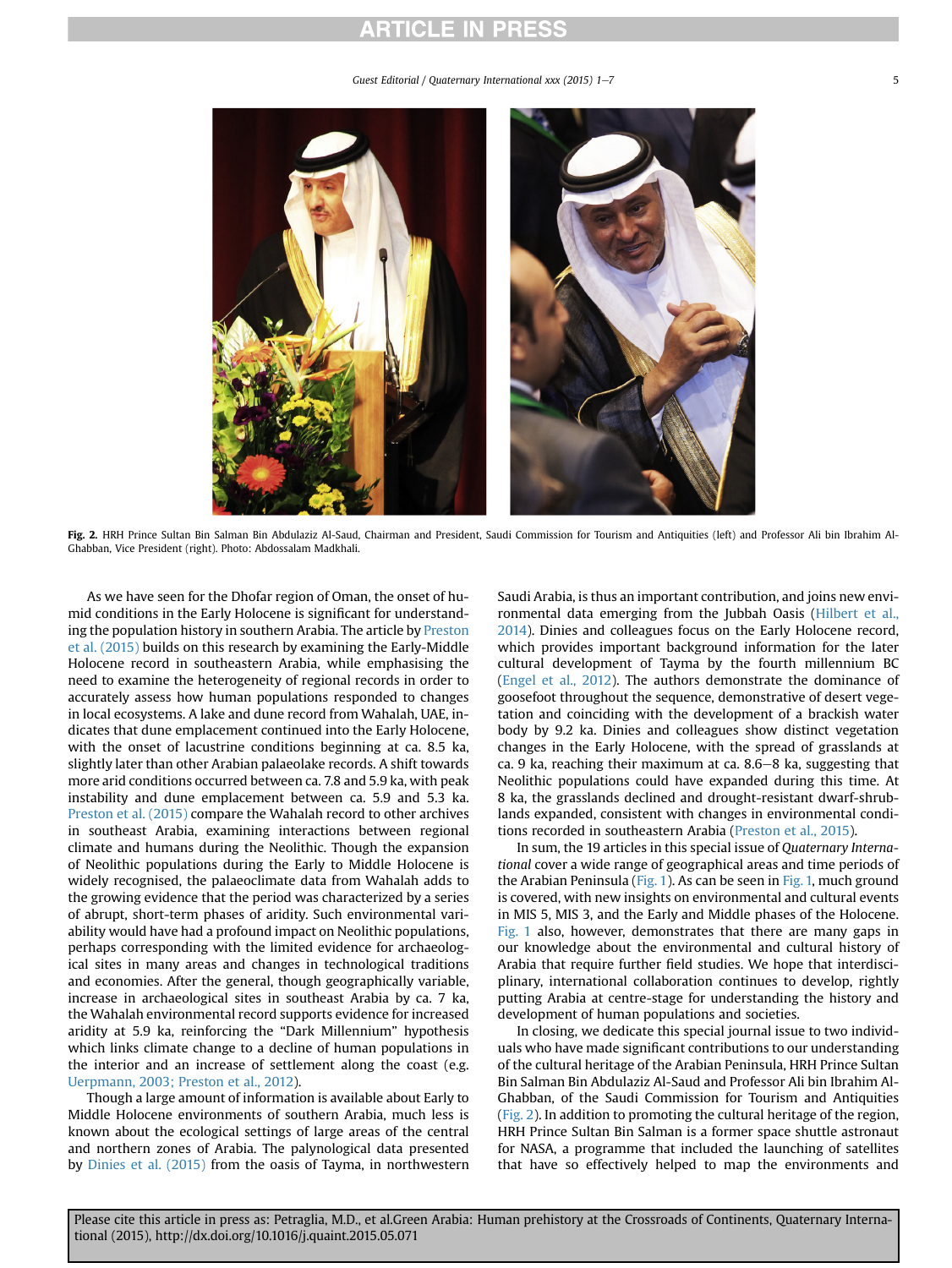Guest Editorial / Ouaternary International xxx (2015) 1-7 5



Fig. 2. HRH Prince Sultan Bin Salman Bin Abdulaziz Al-Saud, Chairman and President, Saudi Commission for Tourism and Antiquities (left) and Professor Ali bin Ibrahim Al-Ghabban, Vice President (right). Photo: Abdossalam Madkhali.

As we have seen for the Dhofar region of Oman, the onset of humid conditions in the Early Holocene is significant for understanding the population history in southern Arabia. The article by [Preston](#page-6-0) [et al. \(2015\)](#page-6-0) builds on this research by examining the Early-Middle Holocene record in southeastern Arabia, while emphasising the need to examine the heterogeneity of regional records in order to accurately assess how human populations responded to changes in local ecosystems. A lake and dune record from Wahalah, UAE, indicates that dune emplacement continued into the Early Holocene, with the onset of lacustrine conditions beginning at ca. 8.5 ka, slightly later than other Arabian palaeolake records. A shift towards more arid conditions occurred between ca. 7.8 and 5.9 ka, with peak instability and dune emplacement between ca. 5.9 and 5.3 ka. [Preston et al. \(2015\)](#page-6-0) compare the Wahalah record to other archives in southeast Arabia, examining interactions between regional climate and humans during the Neolithic. Though the expansion of Neolithic populations during the Early to Middle Holocene is widely recognised, the palaeoclimate data from Wahalah adds to the growing evidence that the period was characterized by a series of abrupt, short-term phases of aridity. Such environmental variability would have had a profound impact on Neolithic populations, perhaps corresponding with the limited evidence for archaeological sites in many areas and changes in technological traditions and economies. After the general, though geographically variable, increase in archaeological sites in southeast Arabia by ca. 7 ka, the Wahalah environmental record supports evidence for increased aridity at 5.9 ka, reinforcing the "Dark Millennium" hypothesis which links climate change to a decline of human populations in the interior and an increase of settlement along the coast (e.g. [Uerpmann, 2003; Preston et al., 2012\)](#page-6-0).

Though a large amount of information is available about Early to Middle Holocene environments of southern Arabia, much less is known about the ecological settings of large areas of the central and northern zones of Arabia. The palynological data presented by [Dinies et al. \(2015\)](#page-5-0) from the oasis of Tayma, in northwestern Saudi Arabia, is thus an important contribution, and joins new environmental data emerging from the Jubbah Oasis ([Hilbert et al.,](#page-5-0) [2014\)](#page-5-0). Dinies and colleagues focus on the Early Holocene record, which provides important background information for the later cultural development of Tayma by the fourth millennium BC ([Engel et al., 2012\)](#page-5-0). The authors demonstrate the dominance of goosefoot throughout the sequence, demonstrative of desert vegetation and coinciding with the development of a brackish water body by 9.2 ka. Dinies and colleagues show distinct vegetation changes in the Early Holocene, with the spread of grasslands at ca. 9 ka, reaching their maximum at ca.  $8.6-8$  ka, suggesting that Neolithic populations could have expanded during this time. At 8 ka, the grasslands declined and drought-resistant dwarf-shrublands expanded, consistent with changes in environmental conditions recorded in southeastern Arabia ([Preston et al., 2015\)](#page-6-0).

In sum, the 19 articles in this special issue of Quaternary International cover a wide range of geographical areas and time periods of the Arabian Peninsula [\(Fig. 1\)](#page-2-0). As can be seen in [Fig. 1,](#page-2-0) much ground is covered, with new insights on environmental and cultural events in MIS 5, MIS 3, and the Early and Middle phases of the Holocene. [Fig. 1](#page-2-0) also, however, demonstrates that there are many gaps in our knowledge about the environmental and cultural history of Arabia that require further field studies. We hope that interdisciplinary, international collaboration continues to develop, rightly putting Arabia at centre-stage for understanding the history and development of human populations and societies.

In closing, we dedicate this special journal issue to two individuals who have made significant contributions to our understanding of the cultural heritage of the Arabian Peninsula, HRH Prince Sultan Bin Salman Bin Abdulaziz Al-Saud and Professor Ali bin Ibrahim Al-Ghabban, of the Saudi Commission for Tourism and Antiquities (Fig. 2). In addition to promoting the cultural heritage of the region, HRH Prince Sultan Bin Salman is a former space shuttle astronaut for NASA, a programme that included the launching of satellites that have so effectively helped to map the environments and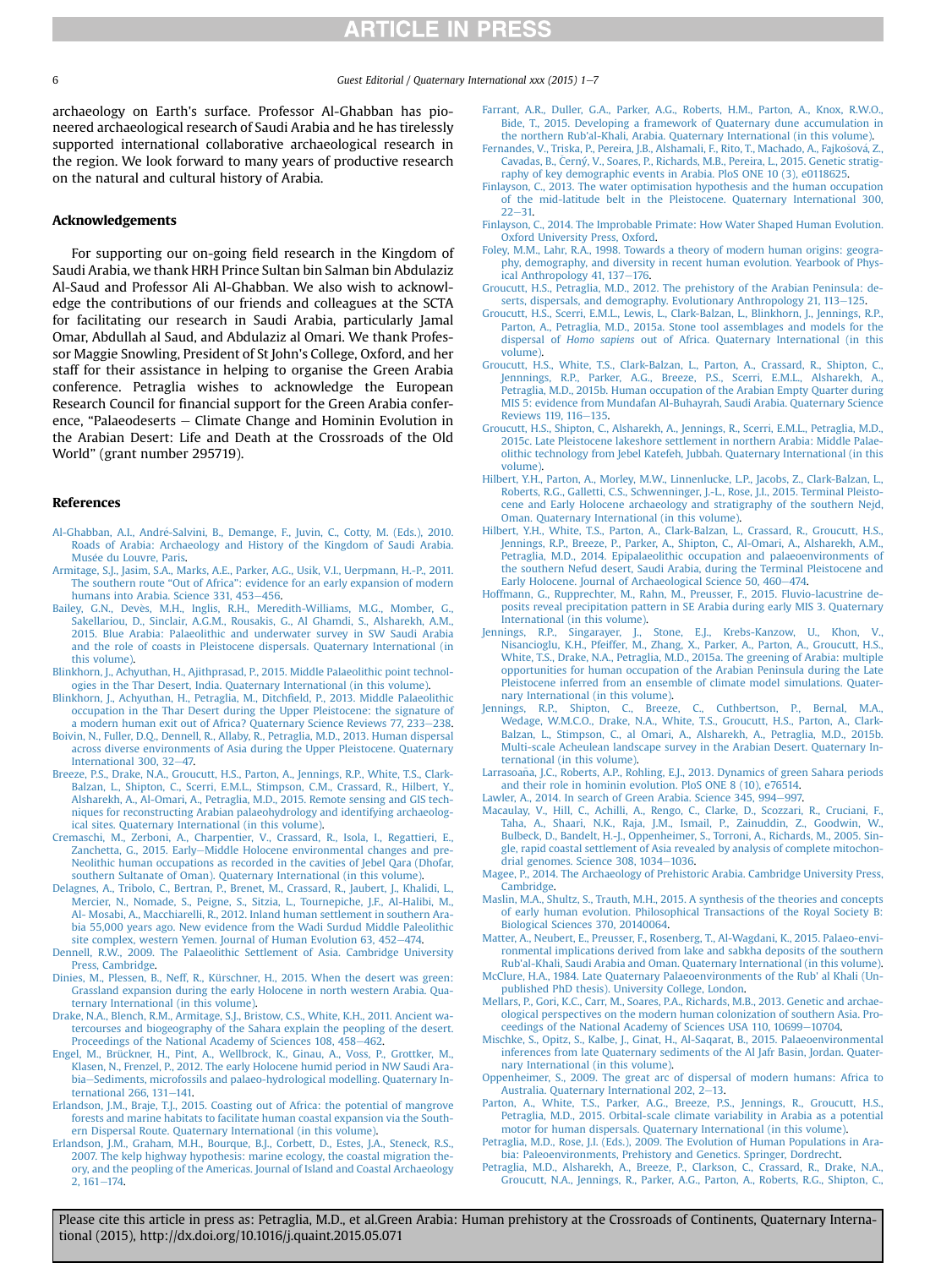<span id="page-5-0"></span>

archaeology on Earth's surface. Professor Al-Ghabban has pioneered archaeological research of Saudi Arabia and he has tirelessly supported international collaborative archaeological research in the region. We look forward to many years of productive research on the natural and cultural history of Arabia.

#### Acknowledgements

For supporting our on-going field research in the Kingdom of Saudi Arabia, we thank HRH Prince Sultan bin Salman bin Abdulaziz Al-Saud and Professor Ali Al-Ghabban. We also wish to acknowledge the contributions of our friends and colleagues at the SCTA for facilitating our research in Saudi Arabia, particularly Jamal Omar, Abdullah al Saud, and Abdulaziz al Omari. We thank Professor Maggie Snowling, President of St John's College, Oxford, and her staff for their assistance in helping to organise the Green Arabia conference. Petraglia wishes to acknowledge the European Research Council for financial support for the Green Arabia conference, "Palaeodeserts  $-$  Climate Change and Hominin Evolution in the Arabian Desert: Life and Death at the Crossroads of the Old World" (grant number 295719).

### References

- [Al-Ghabban, A.I., Andr](http://refhub.elsevier.com/S1040-6182(15)00591-1/sref1)é[-Salvini, B., Demange, F., Juvin, C., Cotty, M. \(Eds.\), 2010.](http://refhub.elsevier.com/S1040-6182(15)00591-1/sref1) [Roads of Arabia: Archaeology and History of the Kingdom of Saudi Arabia.](http://refhub.elsevier.com/S1040-6182(15)00591-1/sref1) Musée du Louvre, Paris.
- [Armitage, S.J., Jasim, S.A., Marks, A.E., Parker, A.G., Usik, V.I., Uerpmann, H.-P., 2011.](http://refhub.elsevier.com/S1040-6182(15)00591-1/sref2) The southern route "Out of Africa"[: evidence for an early expansion of modern](http://refhub.elsevier.com/S1040-6182(15)00591-1/sref2) [humans into Arabia. Science 331, 453](http://refhub.elsevier.com/S1040-6182(15)00591-1/sref2)-[456](http://refhub.elsevier.com/S1040-6182(15)00591-1/sref2).
- [Bailey, G.N., Dev](http://refhub.elsevier.com/S1040-6182(15)00591-1/sref3)è[s, M.H., Inglis, R.H., Meredith-Williams, M.G., Momber, G.,](http://refhub.elsevier.com/S1040-6182(15)00591-1/sref3) [Sakellariou, D., Sinclair, A.G.M., Rousakis, G., Al Ghamdi, S., Alsharekh, A.M.,](http://refhub.elsevier.com/S1040-6182(15)00591-1/sref3) [2015. Blue Arabia: Palaeolithic and underwater survey in SW Saudi Arabia](http://refhub.elsevier.com/S1040-6182(15)00591-1/sref3) [and the role of coasts in Pleistocene dispersals. Quaternary International \(in](http://refhub.elsevier.com/S1040-6182(15)00591-1/sref3) [this volume\)](http://refhub.elsevier.com/S1040-6182(15)00591-1/sref3).
- [Blinkhorn, J., Achyuthan, H., Ajithprasad, P., 2015. Middle Palaeolithic point technol](http://refhub.elsevier.com/S1040-6182(15)00591-1/sref4)[ogies in the Thar Desert, India. Quaternary International \(in this volume\)](http://refhub.elsevier.com/S1040-6182(15)00591-1/sref4).
- [Blinkhorn, J., Achyuthan, H., Petraglia, M., Ditch](http://refhub.elsevier.com/S1040-6182(15)00591-1/sref5)field, P., 2013. Middle Palaeolithic [occupation in the Thar Desert during the Upper Pleistocene: the signature of](http://refhub.elsevier.com/S1040-6182(15)00591-1/sref5) [a modern human exit out of Africa? Quaternary Science Reviews 77, 233](http://refhub.elsevier.com/S1040-6182(15)00591-1/sref5)-[238](http://refhub.elsevier.com/S1040-6182(15)00591-1/sref5).
- [Boivin, N., Fuller, D.Q., Dennell, R., Allaby, R., Petraglia, M.D., 2013. Human dispersal](http://refhub.elsevier.com/S1040-6182(15)00591-1/sref6) [across diverse environments of Asia during the Upper Pleistocene. Quaternary](http://refhub.elsevier.com/S1040-6182(15)00591-1/sref6) International  $300.32-47$ .
- [Breeze, P.S., Drake, N.A., Groucutt, H.S., Parton, A., Jennings, R.P., White, T.S., Clark-](http://refhub.elsevier.com/S1040-6182(15)00591-1/sref7)[Balzan, L., Shipton, C., Scerri, E.M.L., Stimpson, C.M., Crassard, R., Hilbert, Y.,](http://refhub.elsevier.com/S1040-6182(15)00591-1/sref7) [Alsharekh, A., Al-Omari, A., Petraglia, M.D., 2015. Remote sensing and GIS tech](http://refhub.elsevier.com/S1040-6182(15)00591-1/sref7)[niques for reconstructing Arabian palaeohydrology and identifying archaeolog](http://refhub.elsevier.com/S1040-6182(15)00591-1/sref7)[ical sites. Quaternary International \(in this volume\).](http://refhub.elsevier.com/S1040-6182(15)00591-1/sref7)
- [Cremaschi, M., Zerboni, A., Charpentier, V., Crassard, R., Isola, I., Regattieri, E.,](http://refhub.elsevier.com/S1040-6182(15)00591-1/sref8) [Zanchetta, G., 2015. Early](http://refhub.elsevier.com/S1040-6182(15)00591-1/sref8)-[Middle Holocene environmental changes and pre-](http://refhub.elsevier.com/S1040-6182(15)00591-1/sref8)Neolithic human occupations as recorded in the cavities of Iebel Oara (Dhofar, [southern Sultanate of Oman\). Quaternary International \(in this volume\).](http://refhub.elsevier.com/S1040-6182(15)00591-1/sref8)
- [Delagnes, A., Tribolo, C., Bertran, P., Brenet, M., Crassard, R., Jaubert, J., Khalidi, L.,](http://refhub.elsevier.com/S1040-6182(15)00591-1/sref9) [Mercier, N., Nomade, S., Peigne, S., Sitzia, L., Tournepiche, J.F., Al-Halibi, M.,](http://refhub.elsevier.com/S1040-6182(15)00591-1/sref9) [Al- Mosabi, A., Macchiarelli, R., 2012. Inland human settlement in southern Ara](http://refhub.elsevier.com/S1040-6182(15)00591-1/sref9)[bia 55,000 years ago. New evidence from the Wadi Surdud Middle Paleolithic](http://refhub.elsevier.com/S1040-6182(15)00591-1/sref9) site complex, western Yemen. Journal of Human Evolution  $63$ ,  $452-474$ .
- [Dennell, R.W., 2009. The Palaeolithic Settlement of Asia. Cambridge University](http://refhub.elsevier.com/S1040-6182(15)00591-1/sref10) [Press, Cambridge.](http://refhub.elsevier.com/S1040-6182(15)00591-1/sref10)
- [Dinies, M., Plessen, B., Neff, R., Kürschner, H., 2015. When the desert was green:](http://refhub.elsevier.com/S1040-6182(15)00591-1/sref11) [Grassland expansion during the early Holocene in north western Arabia. Qua](http://refhub.elsevier.com/S1040-6182(15)00591-1/sref11)[ternary International \(in this volume\).](http://refhub.elsevier.com/S1040-6182(15)00591-1/sref11)
- [Drake, N.A., Blench, R.M., Armitage, S.J., Bristow, C.S., White, K.H., 2011. Ancient wa](http://refhub.elsevier.com/S1040-6182(15)00591-1/sref12)[tercourses and biogeography of the Sahara explain the peopling of the desert.](http://refhub.elsevier.com/S1040-6182(15)00591-1/sref12) [Proceedings of the National Academy of Sciences 108, 458](http://refhub.elsevier.com/S1040-6182(15)00591-1/sref12)-[462](http://refhub.elsevier.com/S1040-6182(15)00591-1/sref12).
- [Engel, M., Brückner, H., Pint, A., Wellbrock, K., Ginau, A., Voss, P., Grottker, M.,](http://refhub.elsevier.com/S1040-6182(15)00591-1/sref13) [Klasen, N., Frenzel, P., 2012. The early Holocene humid period in NW Saudi Ara](http://refhub.elsevier.com/S1040-6182(15)00591-1/sref13)[bia](http://refhub.elsevier.com/S1040-6182(15)00591-1/sref13)-[Sediments, microfossils and palaeo-hydrological modelling. Quaternary In](http://refhub.elsevier.com/S1040-6182(15)00591-1/sref13)ternational 266,  $131-141$ .
- [Erlandson, J.M., Braje, T.J., 2015. Coasting out of Africa: the potential of mangrove](http://refhub.elsevier.com/S1040-6182(15)00591-1/sref14) [forests and marine habitats to facilitate human coastal expansion via the South](http://refhub.elsevier.com/S1040-6182(15)00591-1/sref14)[ern Dispersal Route. Quaternary International \(in this volume\)](http://refhub.elsevier.com/S1040-6182(15)00591-1/sref14).
- [Erlandson, J.M., Graham, M.H., Bourque, B.J., Corbett, D., Estes, J.A., Steneck, R.S.,](http://refhub.elsevier.com/S1040-6182(15)00591-1/sref15) [2007. The kelp highway hypothesis: marine ecology, the coastal migration the](http://refhub.elsevier.com/S1040-6182(15)00591-1/sref15)[ory, and the peopling of the Americas. Journal of Island and Coastal Archaeology](http://refhub.elsevier.com/S1040-6182(15)00591-1/sref15)  $2, 161 - 174.$  $2, 161 - 174.$  $2, 161 - 174.$  $2, 161 - 174.$
- [Farrant, A.R., Duller, G.A., Parker, A.G., Roberts, H.M., Parton, A., Knox, R.W.O.,](http://refhub.elsevier.com/S1040-6182(15)00591-1/sref16) [Bide, T., 2015. Developing a framework of Quaternary dune accumulation in](http://refhub.elsevier.com/S1040-6182(15)00591-1/sref16) [the northern Rub'al-Khali, Arabia. Quaternary International \(in this volume\).](http://refhub.elsevier.com/S1040-6182(15)00591-1/sref16)
- [Fernandes, V., Triska, P., Pereira, J.B., Alshamali, F., Rito, T., Machado, A., Fajko](http://refhub.elsevier.com/S1040-6182(15)00591-1/sref17)šová, Z., [Cavadas, B.,](http://refhub.elsevier.com/S1040-6182(15)00591-1/sref17) C[erný, V., Soares, P., Richards, M.B., Pereira, L., 2015. Genetic stratig](http://refhub.elsevier.com/S1040-6182(15)00591-1/sref17) [raphy of key demographic events in Arabia. PloS ONE 10 \(3\), e0118625](http://refhub.elsevier.com/S1040-6182(15)00591-1/sref17).
- [Finlayson, C., 2013. The water optimisation hypothesis and the human occupation](http://refhub.elsevier.com/S1040-6182(15)00591-1/sref18) [of the mid-latitude belt in the Pleistocene. Quaternary International 300,](http://refhub.elsevier.com/S1040-6182(15)00591-1/sref18)  $22 - 31$  $22 - 31$
- [Finlayson, C., 2014. The Improbable Primate: How Water Shaped Human Evolution.](http://refhub.elsevier.com/S1040-6182(15)00591-1/sref19) [Oxford University Press, Oxford](http://refhub.elsevier.com/S1040-6182(15)00591-1/sref19).
- [Foley, M.M., Lahr, R.A., 1998. Towards a theory of modern human origins: geogra](http://refhub.elsevier.com/S1040-6182(15)00591-1/sref20)[phy, demography, and diversity in recent human evolution. Yearbook of Phys](http://refhub.elsevier.com/S1040-6182(15)00591-1/sref20)[ical Anthropology 41, 137](http://refhub.elsevier.com/S1040-6182(15)00591-1/sref20)-[176](http://refhub.elsevier.com/S1040-6182(15)00591-1/sref20).
- [Groucutt, H.S., Petraglia, M.D., 2012. The prehistory of the Arabian Peninsula: de](http://refhub.elsevier.com/S1040-6182(15)00591-1/sref21)[serts, dispersals, and demography. Evolutionary Anthropology 21, 113](http://refhub.elsevier.com/S1040-6182(15)00591-1/sref21)-[125](http://refhub.elsevier.com/S1040-6182(15)00591-1/sref21).
- [Groucutt, H.S., Scerri, E.M.L., Lewis, L., Clark-Balzan, L., Blinkhorn, J., Jennings, R.P.,](http://refhub.elsevier.com/S1040-6182(15)00591-1/sref22) [Parton, A., Petraglia, M.D., 2015a. Stone tool assemblages and models for the](http://refhub.elsevier.com/S1040-6182(15)00591-1/sref22) dispersal of Homo sapiens [out of Africa. Quaternary International \(in this](http://refhub.elsevier.com/S1040-6182(15)00591-1/sref22) [volume\).](http://refhub.elsevier.com/S1040-6182(15)00591-1/sref22)
- [Groucutt, H.S., White, T.S., Clark-Balzan, L., Parton, A., Crassard, R., Shipton, C.,](http://refhub.elsevier.com/S1040-6182(15)00591-1/sref23) R.P., Parker, A.G., Breeze, P.S., Scerri, E.M.L., Alsharekh, A., [Petraglia, M.D., 2015b. Human occupation of the Arabian Empty Quarter during](http://refhub.elsevier.com/S1040-6182(15)00591-1/sref23) [MIS 5: evidence from Mundafan Al-Buhayrah, Saudi Arabia. Quaternary Science](http://refhub.elsevier.com/S1040-6182(15)00591-1/sref23) [Reviews 119, 116](http://refhub.elsevier.com/S1040-6182(15)00591-1/sref23)-[135](http://refhub.elsevier.com/S1040-6182(15)00591-1/sref23).
- [Groucutt, H.S., Shipton, C., Alsharekh, A., Jennings, R., Scerri, E.M.L., Petraglia, M.D.,](http://refhub.elsevier.com/S1040-6182(15)00591-1/sref24) [2015c. Late Pleistocene lakeshore settlement in northern Arabia: Middle Palae](http://refhub.elsevier.com/S1040-6182(15)00591-1/sref24)[olithic technology from Jebel Katefeh, Jubbah. Quaternary International \(in this](http://refhub.elsevier.com/S1040-6182(15)00591-1/sref24) [volume\).](http://refhub.elsevier.com/S1040-6182(15)00591-1/sref24)
- [Hilbert, Y.H., Parton, A., Morley, M.W., Linnenlucke, L.P., Jacobs, Z., Clark-Balzan, L.,](http://refhub.elsevier.com/S1040-6182(15)00591-1/sref25) [Roberts, R.G., Galletti, C.S., Schwenninger, J.-L., Rose, J.I., 2015. Terminal Pleisto](http://refhub.elsevier.com/S1040-6182(15)00591-1/sref25)[cene and Early Holocene archaeology and stratigraphy of the southern Nejd,](http://refhub.elsevier.com/S1040-6182(15)00591-1/sref25) [Oman. Quaternary International \(in this volume\).](http://refhub.elsevier.com/S1040-6182(15)00591-1/sref25)
- [Hilbert, Y.H., White, T.S., Parton, A., Clark-Balzan, L., Crassard, R., Groucutt, H.S.,](http://refhub.elsevier.com/S1040-6182(15)00591-1/sref26) [Jennings, R.P., Breeze, P., Parker, A., Shipton, C., Al-Omari, A., Alsharekh, A.M.,](http://refhub.elsevier.com/S1040-6182(15)00591-1/sref26) [Petraglia, M.D., 2014. Epipalaeolithic occupation and palaeoenvironments of](http://refhub.elsevier.com/S1040-6182(15)00591-1/sref26) [the southern Nefud desert, Saudi Arabia, during the Terminal Pleistocene and](http://refhub.elsevier.com/S1040-6182(15)00591-1/sref26) [Early Holocene. Journal of Archaeological Science 50, 460](http://refhub.elsevier.com/S1040-6182(15)00591-1/sref26)-[474.](http://refhub.elsevier.com/S1040-6182(15)00591-1/sref26)
- [Hoffmann, G., Rupprechter, M., Rahn, M., Preusser, F., 2015. Fluvio-lacustrine de](http://refhub.elsevier.com/S1040-6182(15)00591-1/sref27)[posits reveal precipitation pattern in SE Arabia during early MIS 3. Quaternary](http://refhub.elsevier.com/S1040-6182(15)00591-1/sref27) [International \(in this volume\)](http://refhub.elsevier.com/S1040-6182(15)00591-1/sref27).
- [Jennings, R.P., Singarayer, J., Stone, E.J., Krebs-Kanzow, U., Khon, V.,](http://refhub.elsevier.com/S1040-6182(15)00591-1/sref28) [Nisancioglu, K.H., Pfeiffer, M., Zhang, X., Parker, A., Parton, A., Groucutt, H.S.,](http://refhub.elsevier.com/S1040-6182(15)00591-1/sref28) [White, T.S., Drake, N.A., Petraglia, M.D., 2015a. The greening of Arabia: multiple](http://refhub.elsevier.com/S1040-6182(15)00591-1/sref28) [opportunities for human occupation of the Arabian Peninsula during the Late](http://refhub.elsevier.com/S1040-6182(15)00591-1/sref28) [Pleistocene inferred from an ensemble of climate model simulations. Quater](http://refhub.elsevier.com/S1040-6182(15)00591-1/sref28)[nary International \(in this volume\)](http://refhub.elsevier.com/S1040-6182(15)00591-1/sref28).
- [Jennings, R.P., Shipton, C., Breeze, C., Cuthbertson, P., Bernal, M.A.,](http://refhub.elsevier.com/S1040-6182(15)00591-1/sref29) [Wedage, W.M.C.O., Drake, N.A., White, T.S., Groucutt, H.S., Parton, A., Clark-](http://refhub.elsevier.com/S1040-6182(15)00591-1/sref29)[Balzan, L., Stimpson, C., al Omari, A., Alsharekh, A., Petraglia, M.D., 2015b.](http://refhub.elsevier.com/S1040-6182(15)00591-1/sref29) [Multi-scale Acheulean landscape survey in the Arabian Desert. Quaternary In](http://refhub.elsevier.com/S1040-6182(15)00591-1/sref29)[ternational \(in this volume\)](http://refhub.elsevier.com/S1040-6182(15)00591-1/sref29).
- Larrasoaña, J.C., Roberts, A.P., Rohling, E.J., 2013. Dynamics of green Sahara periods [and their role in hominin evolution. PloS ONE 8 \(10\), e76514.](http://refhub.elsevier.com/S1040-6182(15)00591-1/sref30)
- [Lawler, A., 2014. In search of Green Arabia. Science 345, 994](http://refhub.elsevier.com/S1040-6182(15)00591-1/sref31)-[997.](http://refhub.elsevier.com/S1040-6182(15)00591-1/sref31)
- [Macaulay, V., Hill, C., Achilli, A., Rengo, C., Clarke, D., Scozzari, R., Cruciani, F.,](http://refhub.elsevier.com/S1040-6182(15)00591-1/sref32) [Taha, A., Shaari, N.K., Raja, J.M., Ismail, P., Zainuddin, Z., Goodwin, W.,](http://refhub.elsevier.com/S1040-6182(15)00591-1/sref32) [Bulbeck, D., Bandelt, H.-J., Oppenheimer, S., Torroni, A., Richards, M., 2005. Sin](http://refhub.elsevier.com/S1040-6182(15)00591-1/sref32)[gle, rapid coastal settlement of Asia revealed by analysis of complete mitochon](http://refhub.elsevier.com/S1040-6182(15)00591-1/sref32)[drial genomes. Science 308, 1034](http://refhub.elsevier.com/S1040-6182(15)00591-1/sref32)-[1036](http://refhub.elsevier.com/S1040-6182(15)00591-1/sref32).
- [Magee, P., 2014. The Archaeology of Prehistoric Arabia. Cambridge University Press,](http://refhub.elsevier.com/S1040-6182(15)00591-1/sref33) **Cambridge**
- [Maslin, M.A., Shultz, S., Trauth, M.H., 2015. A synthesis of the theories and concepts](http://refhub.elsevier.com/S1040-6182(15)00591-1/sref34) [of early human evolution. Philosophical Transactions of the Royal Society B:](http://refhub.elsevier.com/S1040-6182(15)00591-1/sref34) [Biological Sciences 370, 20140064.](http://refhub.elsevier.com/S1040-6182(15)00591-1/sref34)
- [Matter, A., Neubert, E., Preusser, F., Rosenberg, T., Al-Wagdani, K., 2015. Palaeo-envi](http://refhub.elsevier.com/S1040-6182(15)00591-1/sref35)[ronmental implications derived from lake and sabkha deposits of the southern](http://refhub.elsevier.com/S1040-6182(15)00591-1/sref35) [Rub'al-Khali, Saudi Arabia and Oman. Quaternary International \(in this volume\)](http://refhub.elsevier.com/S1040-6182(15)00591-1/sref35).
- [McClure, H.A., 1984. Late Quaternary Palaeoenvironments of the Rub' al Khali \(Un](http://refhub.elsevier.com/S1040-6182(15)00591-1/sref36)[published PhD thesis\). University College, London.](http://refhub.elsevier.com/S1040-6182(15)00591-1/sref36)
- [Mellars, P., Gori, K.C., Carr, M., Soares, P.A., Richards, M.B., 2013. Genetic and archae](http://refhub.elsevier.com/S1040-6182(15)00591-1/sref37)[ological perspectives on the modern human colonization of southern Asia. Pro](http://refhub.elsevier.com/S1040-6182(15)00591-1/sref37)[ceedings of the National Academy of Sciences USA 110, 10699](http://refhub.elsevier.com/S1040-6182(15)00591-1/sref37)-[10704.](http://refhub.elsevier.com/S1040-6182(15)00591-1/sref37)
- [Mischke, S., Opitz, S., Kalbe, J., Ginat, H., Al-Saqarat, B., 2015. Palaeoenvironmental](http://refhub.elsevier.com/S1040-6182(15)00591-1/sref38) [inferences from late Quaternary sediments of the Al Jafr Basin, Jordan. Quater](http://refhub.elsevier.com/S1040-6182(15)00591-1/sref38)[nary International \(in this volume\)](http://refhub.elsevier.com/S1040-6182(15)00591-1/sref38).
- [Oppenheimer, S., 2009. The great arc of dispersal of modern humans: Africa to](http://refhub.elsevier.com/S1040-6182(15)00591-1/sref39) [Australia. Quaternary International 202, 2](http://refhub.elsevier.com/S1040-6182(15)00591-1/sref39)-[13.](http://refhub.elsevier.com/S1040-6182(15)00591-1/sref39)
- Parton, A., White, T.S., Parker, A.G., Breeze, P.S., Jennings, R., Groucutt, H.S. [Petraglia, M.D., 2015. Orbital-scale climate variability in Arabia as a potential](http://refhub.elsevier.com/S1040-6182(15)00591-1/sref40) [motor for human dispersals. Quaternary International \(in this volume\)](http://refhub.elsevier.com/S1040-6182(15)00591-1/sref40).
- [Petraglia, M.D., Rose, J.I. \(Eds.\), 2009. The Evolution of Human Populations in Ara](http://refhub.elsevier.com/S1040-6182(15)00591-1/sref41)[bia: Paleoenvironments, Prehistory and Genetics. Springer, Dordrecht](http://refhub.elsevier.com/S1040-6182(15)00591-1/sref41).
- [Petraglia, M.D., Alsharekh, A., Breeze, P., Clarkson, C., Crassard, R., Drake, N.A.,](http://refhub.elsevier.com/S1040-6182(15)00591-1/sref42) [Groucutt, N.A., Jennings, R., Parker, A.G., Parton, A., Roberts, R.G., Shipton, C.,](http://refhub.elsevier.com/S1040-6182(15)00591-1/sref42)